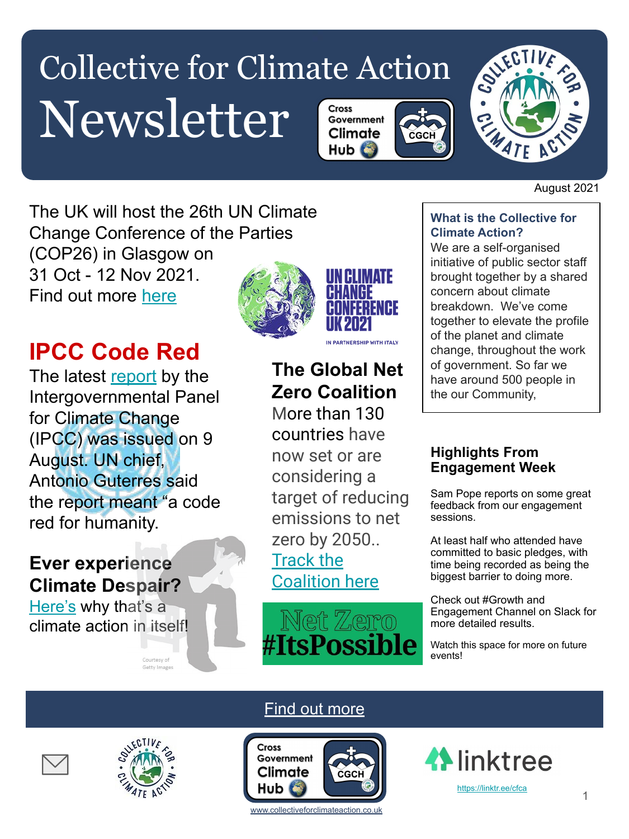#### Collective for Climate Action Newsletter Cross Government Climate CGCH





August 2021

The UK will host the 26th UN Climate Change Conference of the Parties (COP26) in Glasgow on 31 Oct - 12 Nov 2021. Find out more [here](https://ukcop26.org/)

# **IPCC Code Red**

The latest [report](https://www.ipcc.ch/assessment-report/ar6/) by the Intergovernmental Panel for Climate Change (IPCC) was issued on 9 August. UN chief, Antonio Guterres said the report meant "a code red for humanity.

# **Ever experience Climate Despair?**

[Here's](https://link.wired.co.uk/view/60995759efe06710262561faerap0.1v1/e511ccc1) why that's a climate action in itself!



# **The Global Net Zero Coalition**

[More than 130](https://eciu.net/netzerotracker) [countries](https://eciu.net/netzerotracker) have now set or are considering a target of reducing emissions to net zero by 2050.. [Track the](https://www.un.org/en/climatechange/net-zero-coalition) [Coalition here](https://www.un.org/en/climatechange/net-zero-coalition)



#### **What is the Collective for Climate Action?**

We are a self-organised initiative of public sector staff brought together by a shared concern about climate breakdown. We've come together to elevate the profile of the planet and climate change, throughout the work of government. So far we have around 500 people in the our Community,

### **Highlights From Engagement Week**

Sam Pope reports on some great feedback from our engagement sessions.

At least half who attended have committed to basic pledges, with time being recorded as being the biggest barrier to doing more.

Check out #Growth and Engagement Channel on Slack for more detailed results.

Watch this space for more on future events!





Courtesy of Getty Images

# **[Find out more](https://www.collectiveforclimateaction.co.uk/)**



www.collectiveforclimateaction